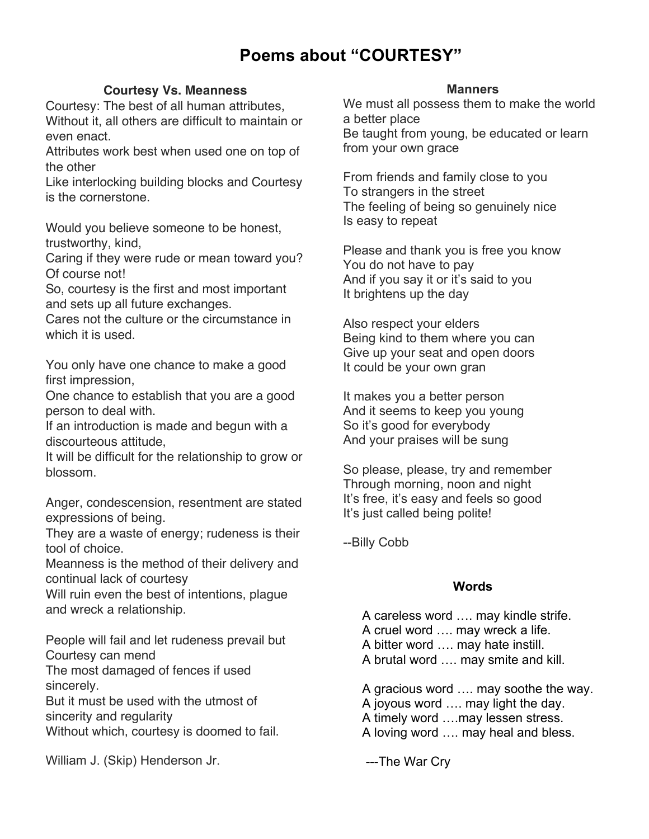# **Poems about "COURTESY"**

## **Courtesy Vs. Meanness**

Courtesy: The best of all human attributes, Without it, all others are difficult to maintain or even enact.

Attributes work best when used one on top of the other

Like interlocking building blocks and Courtesy is the cornerstone.

Would you believe someone to be honest, trustworthy, kind,

Caring if they were rude or mean toward you? Of course not!

So, courtesy is the first and most important and sets up all future exchanges.

Cares not the culture or the circumstance in which it is used.

You only have one chance to make a good first impression,

One chance to establish that you are a good person to deal with.

If an introduction is made and begun with a discourteous attitude,

It will be difficult for the relationship to grow or blossom.

Anger, condescension, resentment are stated expressions of being.

They are a waste of energy; rudeness is their tool of choice.

Meanness is the method of their delivery and continual lack of courtesy

Will ruin even the best of intentions, plague and wreck a relationship.

People will fail and let rudeness prevail but Courtesy can mend

The most damaged of fences if used sincerely.

But it must be used with the utmost of sincerity and regularity Without which, courtesy is doomed to fail.

William J. (Skip) Henderson Jr.

## **Manners**

We must all possess them to make the world a better place Be taught from young, be educated or learn from your own grace

From friends and family close to you To strangers in the street The feeling of being so genuinely nice Is easy to repeat

Please and thank you is free you know You do not have to pay And if you say it or it's said to you It brightens up the day

Also respect your elders Being kind to them where you can Give up your seat and open doors It could be your own gran

It makes you a better person And it seems to keep you young So it's good for everybody And your praises will be sung

So please, please, try and remember Through morning, noon and night It's free, it's easy and feels so good It's just called being polite!

--Billy Cobb

# **Words**

A careless word …. may kindle strife. A cruel word …. may wreck a life. A bitter word …. may hate instill. A brutal word …. may smite and kill.

A gracious word …. may soothe the way.

A joyous word …. may light the day.

A timely word ….may lessen stress.

A loving word …. may heal and bless.

---The War Cry